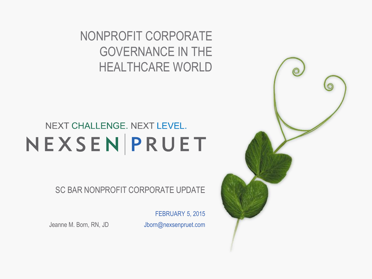NONPROFIT CORPORATE GOVERNANCE IN THE HEALTHCARE WORLD

#### NEXT CHALLENGE. NEXT LEVEL. NEXSENPRUET

SC BAR NONPROFIT CORPORATE UPDATE

FEBRUARY 5, 2015

Jeanne M. Born, RN, JD Jborn@nexsenpruet.com

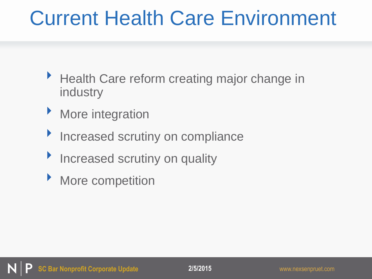# Current Health Care Environment

- ▶ Health Care reform creating major change in industry
- **More integration**
- **Increased scrutiny on compliance**
- **Increased scrutiny on quality**
- **More competition**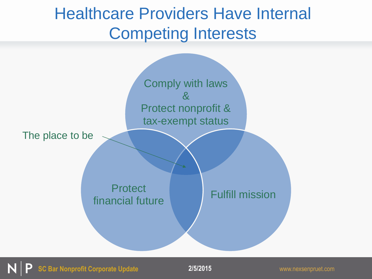#### Healthcare Providers Have Internal Competing Interests



**SC Bar Nonprofit Corporate Update 2/5/2015** www.nexsenpruet.com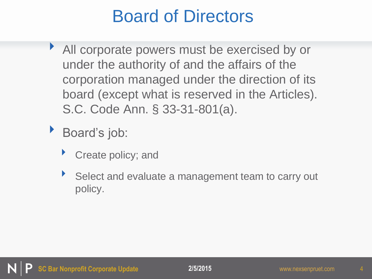## Board of Directors

- ‣ All corporate powers must be exercised by or under the authority of and the affairs of the corporation managed under the direction of its board (except what is reserved in the Articles). S.C. Code Ann. § 33-31-801(a).
- Board's job:
	- Create policy; and
	- ‣ Select and evaluate a management team to carry out policy.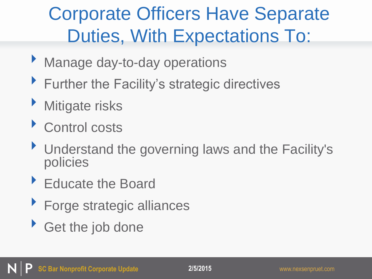# Corporate Officers Have Separate Duties, With Expectations To:

- ‣ Manage day-to-day operations
- **Further the Facility's strategic directives**
- **Mitigate risks**
- ‣ Control costs
- ‣ Understand the governing laws and the Facility's policies
- ‣ Educate the Board
- ‣ Forge strategic alliances
- ‣ Get the job done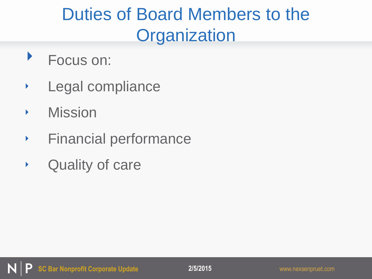# Duties of Board Members to the **Organization**

- ‣ Focus on:
- ‣ Legal compliance
- ‣ Mission
- ‣ Financial performance
- ‣ Quality of care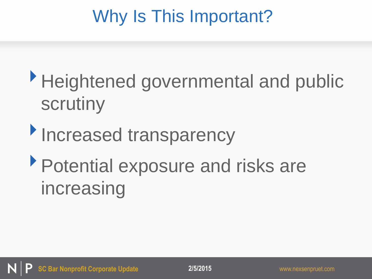# Why Is This Important?

- ‣Heightened governmental and public scrutiny
- **Increased transparency**
- ‣Potential exposure and risks are increasing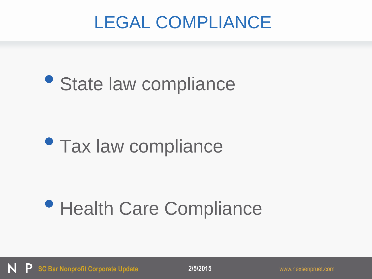# LEGAL COMPLIANCE

# • State law compliance

# • Tax law compliance

# • Health Care Compliance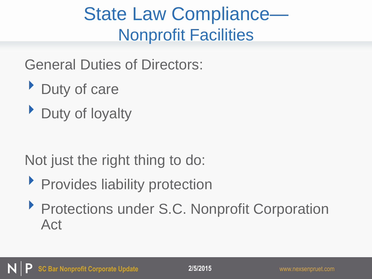# State Law Compliance— Nonprofit Facilities

General Duties of Directors:

- ‣ Duty of care
- Duty of loyalty

Not just the right thing to do:

- **Provides liability protection**
- ‣ Protections under S.C. Nonprofit Corporation Act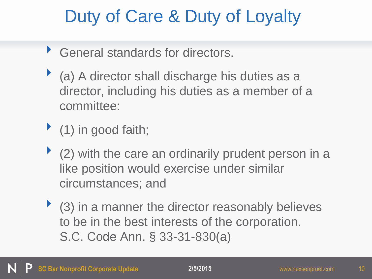# Duty of Care & Duty of Loyalty

- ‣ General standards for directors.
- (a) A director shall discharge his duties as a director, including his duties as a member of a committee:
- $\blacktriangleright$  (1) in good faith;
- $\blacktriangleright$  (2) with the care an ordinarily prudent person in a like position would exercise under similar circumstances; and
- $\blacktriangleright$  (3) in a manner the director reasonably believes to be in the best interests of the corporation. S.C. Code Ann. § 33-31-830(a)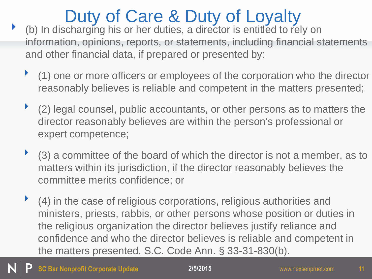# Duty of Care & Duty of Loyalty

- (b) In discharging his or her duties, a director is entitled to rely on information, opinions, reports, or statements, including financial statements and other financial data, if prepared or presented by:
	- ‣ (1) one or more officers or employees of the corporation who the director reasonably believes is reliable and competent in the matters presented;
	- ‣ (2) legal counsel, public accountants, or other persons as to matters the director reasonably believes are within the person's professional or expert competence;
	- $\blacktriangleright$  (3) a committee of the board of which the director is not a member, as to matters within its jurisdiction, if the director reasonably believes the committee merits confidence; or
	- ‣ (4) in the case of religious corporations, religious authorities and ministers, priests, rabbis, or other persons whose position or duties in the religious organization the director believes justify reliance and confidence and who the director believes is reliable and competent in the matters presented. S.C. Code Ann. § 33-31-830(b).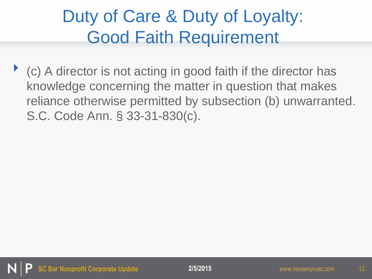# Duty of Care & Duty of Loyalty: Good Faith Requirement

‣ (c) A director is not acting in good faith if the director has knowledge concerning the matter in question that makes reliance otherwise permitted by subsection (b) unwarranted. S.C. Code Ann. § 33-31-830(c).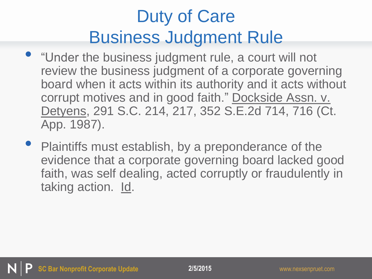# Duty of Care Business Judgment Rule

- "Under the business judgment rule, a court will not review the business judgment of a corporate governing board when it acts within its authority and it acts without corrupt motives and in good faith." Dockside Assn. v. Detyens, 291 S.C. 214, 217, 352 S.E.2d 714, 716 (Ct. App. 1987).
- Plaintiffs must establish, by a preponderance of the evidence that a corporate governing board lacked good faith, was self dealing, acted corruptly or fraudulently in taking action. Id.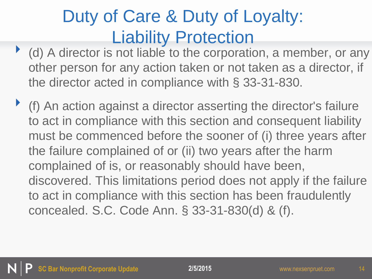# Duty of Care & Duty of Loyalty: Liability Protection

- ‣ (d) A director is not liable to the corporation, a member, or any other person for any action taken or not taken as a director, if the director acted in compliance with § 33-31-830.
- ‣ (f) An action against a director asserting the director's failure to act in compliance with this section and consequent liability must be commenced before the sooner of (i) three years after the failure complained of or (ii) two years after the harm complained of is, or reasonably should have been, discovered. This limitations period does not apply if the failure to act in compliance with this section has been fraudulently concealed. S.C. Code Ann. § 33-31-830(d) & (f).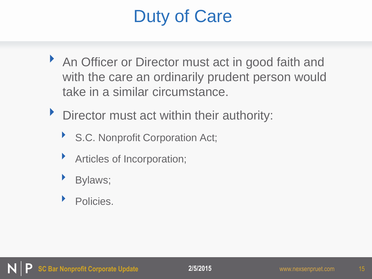# Duty of Care

- An Officer or Director must act in good faith and with the care an ordinarily prudent person would take in a similar circumstance.
- Director must act within their authority:
	- ▶ S.C. Nonprofit Corporation Act;
	- ‣ Articles of Incorporation;
	- Bylaws;
	- Policies.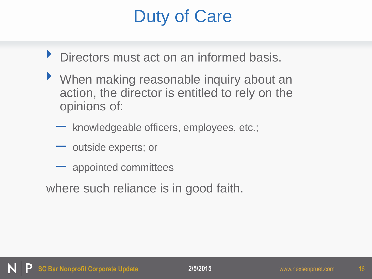# Duty of Care

- **Directors must act on an informed basis.**
- ‣ When making reasonable inquiry about an action, the director is entitled to rely on the opinions of:
	- knowledgeable officers, employees, etc.;
	- outside experts; or
	- appointed committees
- where such reliance is in good faith.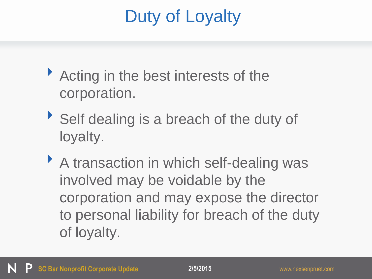# Duty of Loyalty

- ▶ Acting in the best interests of the corporation.
- ‣ Self dealing is a breach of the duty of loyalty.
- ‣ A transaction in which self-dealing was involved may be voidable by the corporation and may expose the director to personal liability for breach of the duty of loyalty.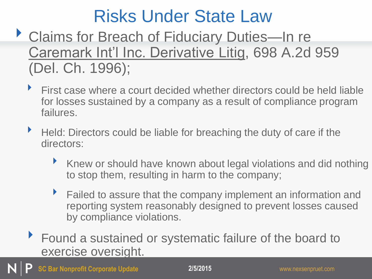- ▶ Claims for Breach of Fiduciary Duties—In re Caremark Int'l Inc. Derivative Litig, 698 A.2d 959 (Del. Ch. 1996);
	- $\blacktriangleright$  First case where a court decided whether directors could be held liable for losses sustained by a company as a result of compliance program failures.
	- ▶ Held: Directors could be liable for breaching the duty of care if the directors:
		- ‣ Knew or should have known about legal violations and did nothing to stop them, resulting in harm to the company;
		- ▶ Failed to assure that the company implement an information and reporting system reasonably designed to prevent losses caused by compliance violations.
	- ▶ Found a sustained or systematic failure of the board to exercise oversight.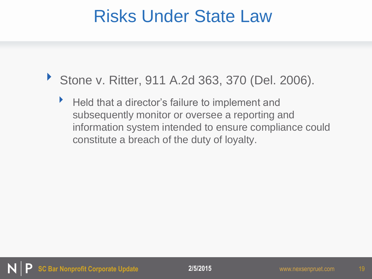- ▶ Stone v. Ritter, 911 A.2d 363, 370 (Del. 2006).
	- Held that a director's failure to implement and subsequently monitor or oversee a reporting and information system intended to ensure compliance could constitute a breach of the duty of loyalty.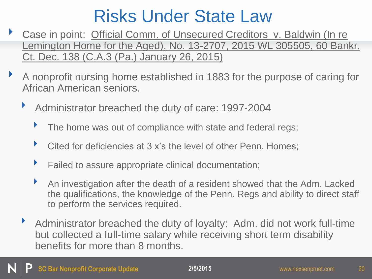- Case in point: Official Comm. of Unsecured Creditors v. Baldwin (In re Lemington Home for the Aged), No. 13-2707, 2015 WL 305505, 60 Bankr. Ct. Dec. 138 (C.A.3 (Pa.) January 26, 2015)
- ‣ A nonprofit nursing home established in 1883 for the purpose of caring for African American seniors.
	- ‣ Administrator breached the duty of care: 1997-2004
		- The home was out of compliance with state and federal regs;
		- Cited for deficiencies at 3 x's the level of other Penn. Homes;
		- Failed to assure appropriate clinical documentation;
		- ‣ An investigation after the death of a resident showed that the Adm. Lacked the qualifications, the knowledge of the Penn. Regs and ability to direct staff to perform the services required.
	- ‣ Administrator breached the duty of loyalty: Adm. did not work full-time but collected a full-time salary while receiving short term disability benefits for more than 8 months.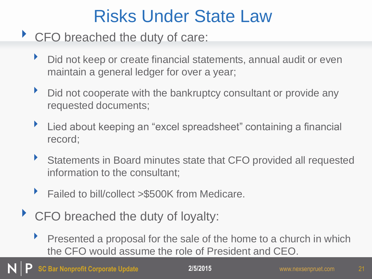#### ▶ CFO breached the duty of care:

- Did not keep or create financial statements, annual audit or even maintain a general ledger for over a year;
- Did not cooperate with the bankruptcy consultant or provide any requested documents;
- ▶ Lied about keeping an "excel spreadsheet" containing a financial record;
- Statements in Board minutes state that CFO provided all requested information to the consultant;
- ‣ Failed to bill/collect >\$500K from Medicare.
- ▶ CFO breached the duty of loyalty:
	- ‣ Presented a proposal for the sale of the home to a church in which the CFO would assume the role of President and CEO.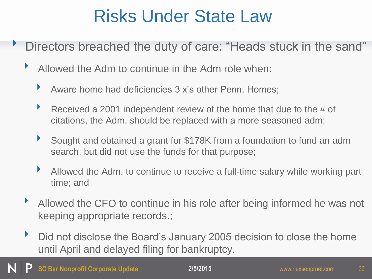- Directors breached the duty of care: "Heads stuck in the sand"
	- ‣ Allowed the Adm to continue in the Adm role when:
		- Aware home had deficiencies 3 x's other Penn. Homes;
		- Received a 2001 independent review of the home that due to the  $#$  of citations, the Adm. should be replaced with a more seasoned adm;
		- ‣ Sought and obtained a grant for \$178K from a foundation to fund an adm search, but did not use the funds for that purpose;
		- Allowed the Adm. to continue to receive a full-time salary while working part time; and
	- ‣ Allowed the CFO to continue in his role after being informed he was not keeping appropriate records.;
	- **Did not disclose the Board's January 2005 decision to close the home** until April and delayed filing for bankruptcy.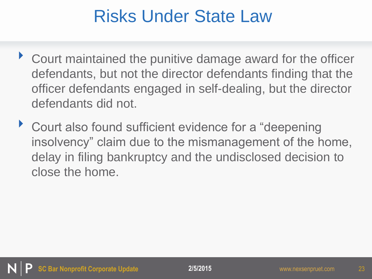- ▶ Court maintained the punitive damage award for the officer defendants, but not the director defendants finding that the officer defendants engaged in self-dealing, but the director defendants did not.
- ‣ Court also found sufficient evidence for a "deepening insolvency" claim due to the mismanagement of the home, delay in filing bankruptcy and the undisclosed decision to close the home.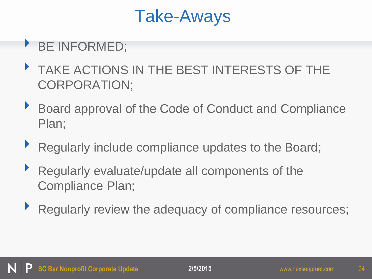## Take-Aways

#### ‣ BE INFORMED;

- TAKE ACTIONS IN THE BEST INTERESTS OF THE CORPORATION;
- ‣ Board approval of the Code of Conduct and Compliance Plan;
- ‣ Regularly include compliance updates to the Board;
- ‣ Regularly evaluate/update all components of the Compliance Plan;
- ‣ Regularly review the adequacy of compliance resources;

24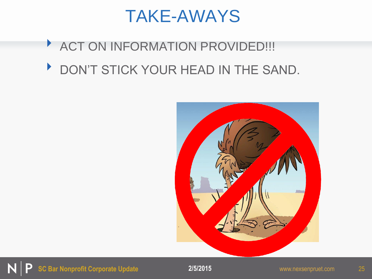#### TAKE-AWAYS

#### **EXACT ON INFORMATION PROVIDED!!!**

DON'T STICK YOUR HEAD IN THE SAND.



25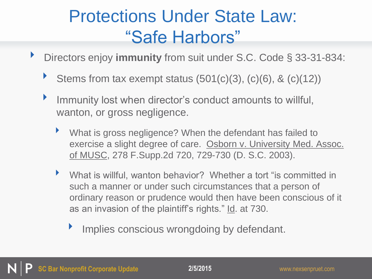## Protections Under State Law: "Safe Harbors"

- ‣ Directors enjoy **immunity** from suit under S.C. Code § 33-31-834:
	- Stems from tax exempt status  $(501(c)(3), (c)(6), 8(c)(12))$
	- ‣ Immunity lost when director's conduct amounts to willful, wanton, or gross negligence.
		- ‣ What is gross negligence? When the defendant has failed to exercise a slight degree of care. Osborn v. University Med. Assoc. of MUSC, 278 F.Supp.2d 720, 729-730 (D. S.C. 2003).
		- ‣ What is willful, wanton behavior? Whether a tort "is committed in such a manner or under such circumstances that a person of ordinary reason or prudence would then have been conscious of it as an invasion of the plaintiff's rights." Id. at 730.
			- Implies conscious wrongdoing by defendant.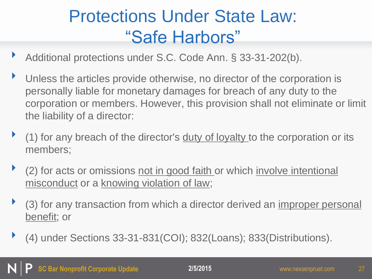# Protections Under State Law: "Safe Harbors"

- Additional protections under S.C. Code Ann. § 33-31-202(b).
- Unless the articles provide otherwise, no director of the corporation is personally liable for monetary damages for breach of any duty to the corporation or members. However, this provision shall not eliminate or limit the liability of a director:
- (1) for any breach of the director's duty of loyalty to the corporation or its members;
- $\blacktriangleright$  (2) for acts or omissions not in good faith or which involve intentional misconduct or a knowing violation of law;
- (3) for any transaction from which a director derived an improper personal benefit; or
- ‣ (4) under Sections 33-31-831(COI); 832(Loans); 833(Distributions).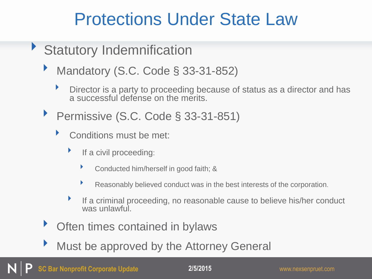#### Protections Under State Law

- ‣ Statutory Indemnification
	- ‣ Mandatory (S.C. Code § 33-31-852)
		- ‣ Director is a party to proceeding because of status as a director and has a successful defense on the merits.
	- ▶ Permissive (S.C. Code § 33-31-851)
		- ‣ Conditions must be met:
			- $\blacktriangleright$  If a civil proceeding:
				- ‣ Conducted him/herself in good faith; &
				- ‣ Reasonably believed conduct was in the best interests of the corporation.
			- If a criminal proceeding, no reasonable cause to believe his/her conduct was unlawful.
	- Often times contained in bylaws
	- Must be approved by the Attorney General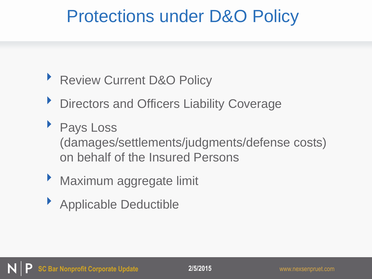## Protections under D&O Policy

- ▶ Review Current D&O Policy
- **Directors and Officers Liability Coverage**
- ‣ Pays Loss (damages/settlements/judgments/defense costs) on behalf of the Insured Persons
- ‣ Maximum aggregate limit
- ‣ Applicable Deductible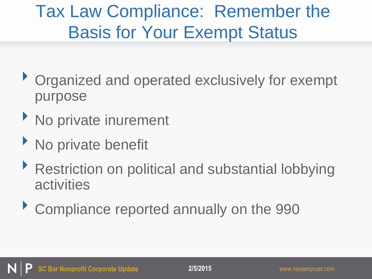# Tax Law Compliance: Remember the Basis for Your Exempt Status

- ‣ Organized and operated exclusively for exempt purpose
- ‣ No private inurement
- ‣ No private benefit
- ▶ Restriction on political and substantial lobbying activities
- ‣ Compliance reported annually on the 990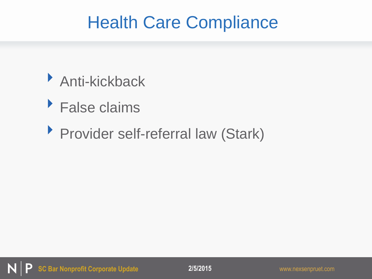## Health Care Compliance

- ‣ Anti-kickback
- ‣ False claims
- ‣ Provider self-referral law (Stark)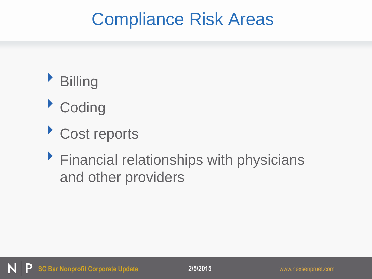## Compliance Risk Areas



- ‣ Coding
- ‣ Cost reports
- ‣ Financial relationships with physicians and other providers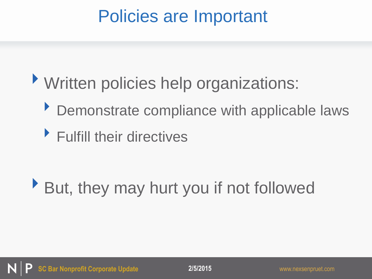# Policies are Important

- ‣Written policies help organizations:
	- ‣ Demonstrate compliance with applicable laws
	- ‣ Fulfill their directives

# ‣But, they may hurt you if not followed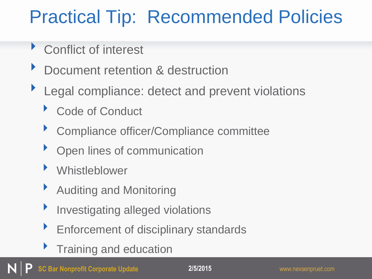# Practical Tip: Recommended Policies

- ‣ Conflict of interest
- Document retention & destruction
- ▶ Legal compliance: detect and prevent violations
	- Code of Conduct
	- ‣ Compliance officer/Compliance committee
	- **Open lines of communication**
	- **Whistleblower**
	- ▶ Auditing and Monitoring
	- **Investigating alleged violations**
	- ‣ Enforcement of disciplinary standards
	- Training and education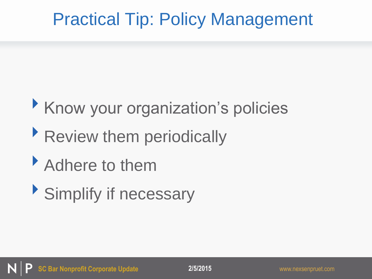# Practical Tip: Policy Management

# ‣Know your organization's policies

# Review them periodically

- Adhere to them
- ‣Simplify if necessary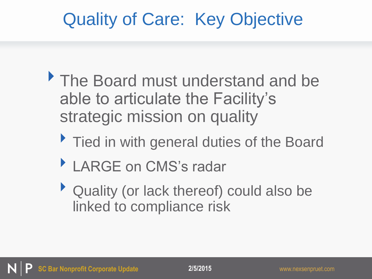# Quality of Care: Key Objective

- The Board must understand and be able to articulate the Facility's strategic mission on quality
	- Tied in with general duties of the Board
	- LARGE on CMS's radar
	- ‣ Quality (or lack thereof) could also be linked to compliance risk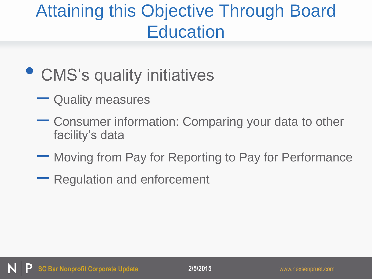# Attaining this Objective Through Board **Education**

# • CMS's quality initiatives

- Quality measures
- Consumer information: Comparing your data to other facility's data
- Moving from Pay for Reporting to Pay for Performance
- Regulation and enforcement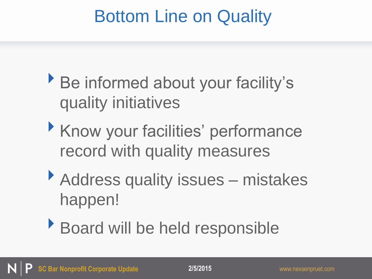# Bottom Line on Quality

- ‣Be informed about your facility's quality initiatives
- ‣Know your facilities' performance record with quality measures
- ▶ Address quality issues mistakes happen!
- ‣Board will be held responsible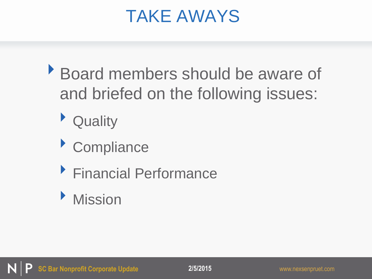### TAKE AWAYS

- ‣Board members should be aware of and briefed on the following issues:
	- ‣ Quality
	- ‣ Compliance
	- ‣ Financial Performance
	- ‣ Mission